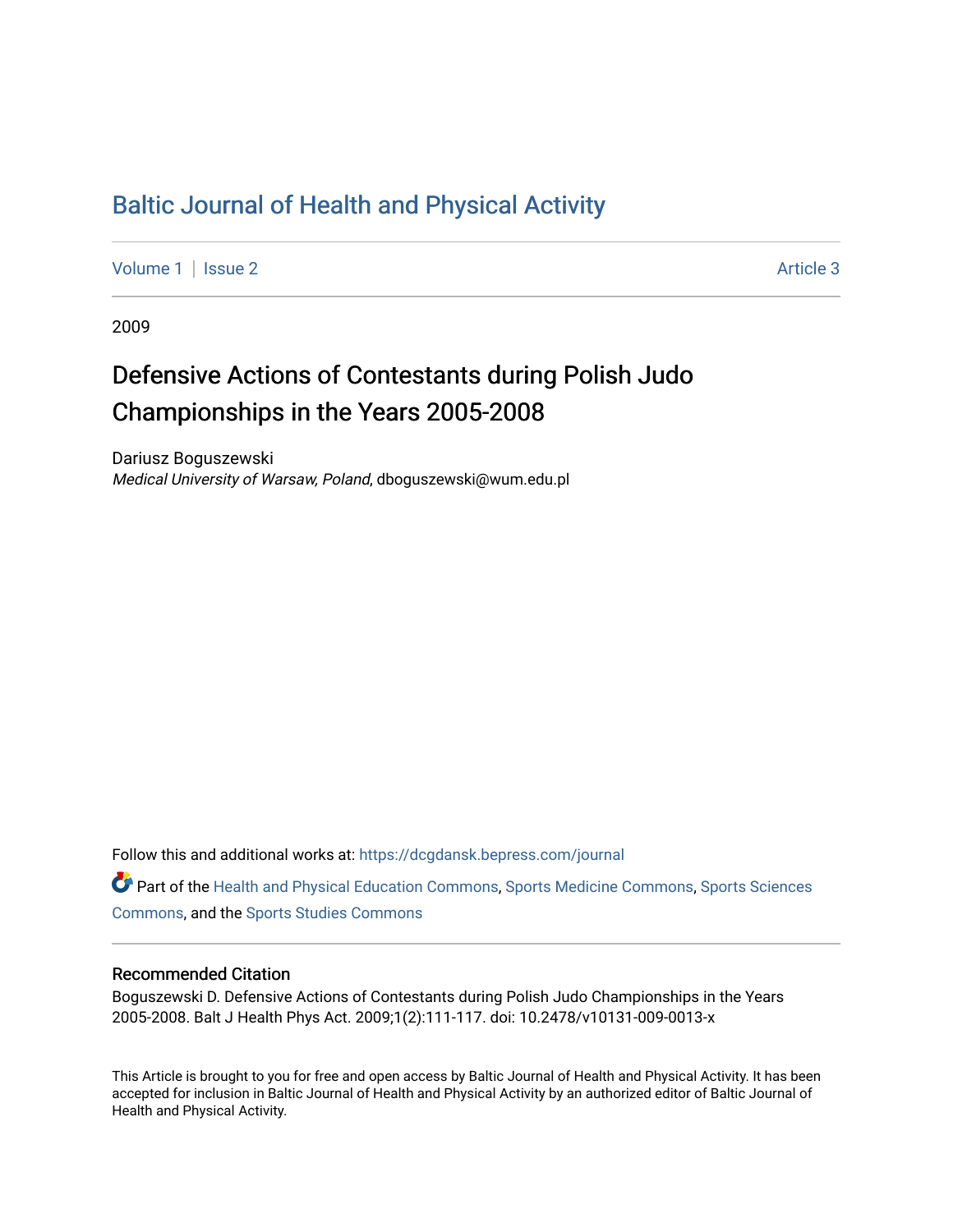## [Baltic Journal of Health and Physical Activity](https://dcgdansk.bepress.com/journal)

[Volume 1](https://dcgdansk.bepress.com/journal/vol1) | [Issue 2](https://dcgdansk.bepress.com/journal/vol1/iss2) Article 3

2009

# Defensive Actions of Contestants during Polish Judo Championships in the Years 2005-2008

Dariusz Boguszewski Medical University of Warsaw, Poland, dboguszewski@wum.edu.pl

Follow this and additional works at: [https://dcgdansk.bepress.com/journal](https://dcgdansk.bepress.com/journal?utm_source=dcgdansk.bepress.com%2Fjournal%2Fvol1%2Fiss2%2F3&utm_medium=PDF&utm_campaign=PDFCoverPages)

Part of the [Health and Physical Education Commons](http://network.bepress.com/hgg/discipline/1327?utm_source=dcgdansk.bepress.com%2Fjournal%2Fvol1%2Fiss2%2F3&utm_medium=PDF&utm_campaign=PDFCoverPages), [Sports Medicine Commons,](http://network.bepress.com/hgg/discipline/1331?utm_source=dcgdansk.bepress.com%2Fjournal%2Fvol1%2Fiss2%2F3&utm_medium=PDF&utm_campaign=PDFCoverPages) [Sports Sciences](http://network.bepress.com/hgg/discipline/759?utm_source=dcgdansk.bepress.com%2Fjournal%2Fvol1%2Fiss2%2F3&utm_medium=PDF&utm_campaign=PDFCoverPages) [Commons](http://network.bepress.com/hgg/discipline/759?utm_source=dcgdansk.bepress.com%2Fjournal%2Fvol1%2Fiss2%2F3&utm_medium=PDF&utm_campaign=PDFCoverPages), and the [Sports Studies Commons](http://network.bepress.com/hgg/discipline/1198?utm_source=dcgdansk.bepress.com%2Fjournal%2Fvol1%2Fiss2%2F3&utm_medium=PDF&utm_campaign=PDFCoverPages) 

#### Recommended Citation

Boguszewski D. Defensive Actions of Contestants during Polish Judo Championships in the Years 2005-2008. Balt J Health Phys Act. 2009;1(2):111-117. doi: 10.2478/v10131-009-0013-x

This Article is brought to you for free and open access by Baltic Journal of Health and Physical Activity. It has been accepted for inclusion in Baltic Journal of Health and Physical Activity by an authorized editor of Baltic Journal of Health and Physical Activity.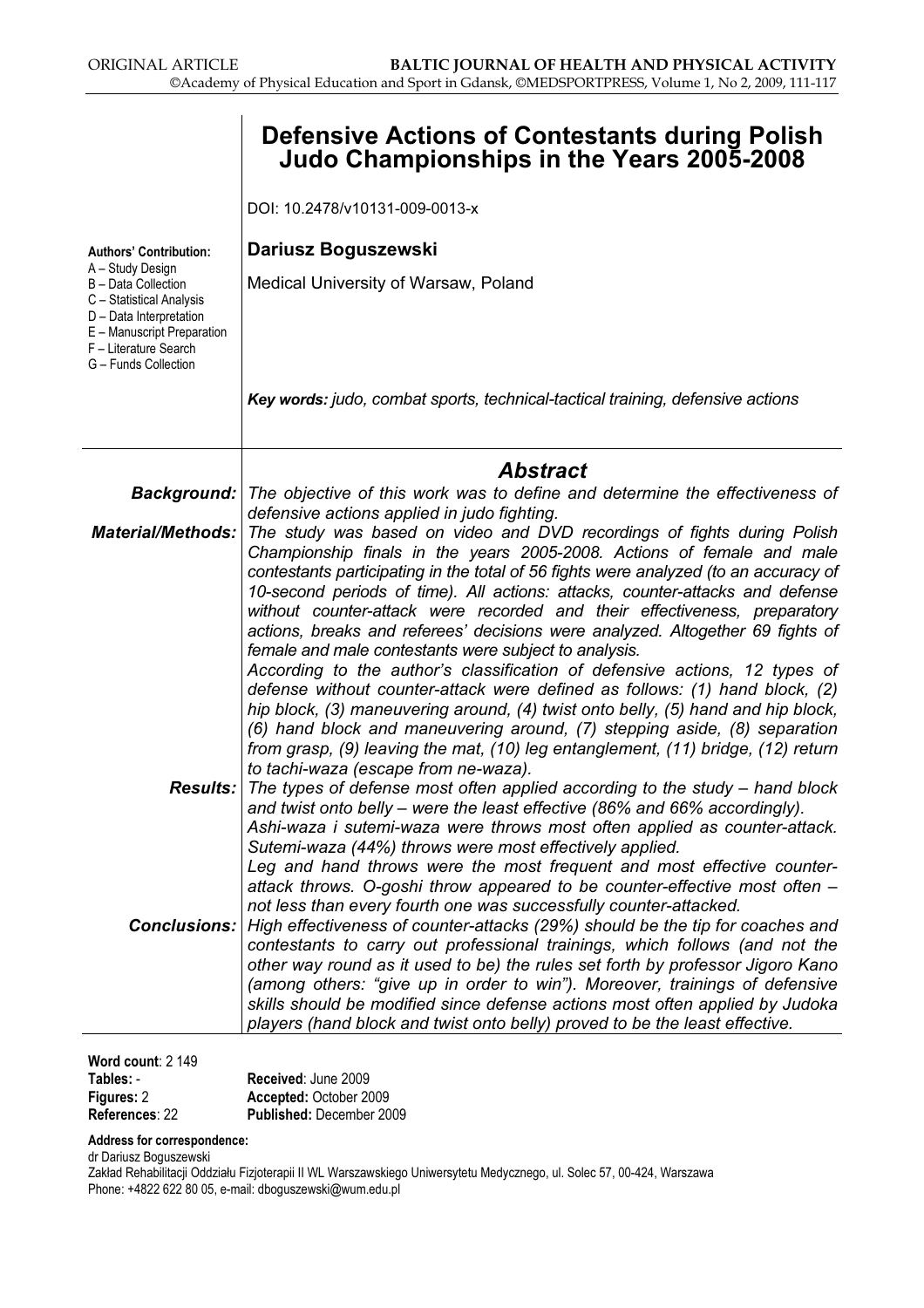|                                                                                                                                                                               | <b>Defensive Actions of Contestants during Polish</b><br>Judo Championships in the Years 2005-2008                                                                                                                                                                                                                                                                                                                                                                                                                                                                                                                                                                                                                       |
|-------------------------------------------------------------------------------------------------------------------------------------------------------------------------------|--------------------------------------------------------------------------------------------------------------------------------------------------------------------------------------------------------------------------------------------------------------------------------------------------------------------------------------------------------------------------------------------------------------------------------------------------------------------------------------------------------------------------------------------------------------------------------------------------------------------------------------------------------------------------------------------------------------------------|
|                                                                                                                                                                               | DOI: 10.2478/v10131-009-0013-x                                                                                                                                                                                                                                                                                                                                                                                                                                                                                                                                                                                                                                                                                           |
| <b>Authors' Contribution:</b>                                                                                                                                                 | Dariusz Boguszewski                                                                                                                                                                                                                                                                                                                                                                                                                                                                                                                                                                                                                                                                                                      |
| A - Study Design<br>B - Data Collection<br>C - Statistical Analysis<br>D - Data Interpretation<br>E - Manuscript Preparation<br>F - Literature Search<br>G - Funds Collection | Medical University of Warsaw, Poland                                                                                                                                                                                                                                                                                                                                                                                                                                                                                                                                                                                                                                                                                     |
|                                                                                                                                                                               | Key words: judo, combat sports, technical-tactical training, defensive actions                                                                                                                                                                                                                                                                                                                                                                                                                                                                                                                                                                                                                                           |
|                                                                                                                                                                               | <b>Abstract</b>                                                                                                                                                                                                                                                                                                                                                                                                                                                                                                                                                                                                                                                                                                          |
| <b>Background:</b>                                                                                                                                                            | The objective of this work was to define and determine the effectiveness of<br>defensive actions applied in judo fighting.                                                                                                                                                                                                                                                                                                                                                                                                                                                                                                                                                                                               |
| <b>Material/Methods:</b>                                                                                                                                                      | The study was based on video and DVD recordings of fights during Polish                                                                                                                                                                                                                                                                                                                                                                                                                                                                                                                                                                                                                                                  |
|                                                                                                                                                                               | Championship finals in the years 2005-2008. Actions of female and male<br>contestants participating in the total of 56 fights were analyzed (to an accuracy of<br>10-second periods of time). All actions: attacks, counter-attacks and defense<br>without counter-attack were recorded and their effectiveness, preparatory<br>actions, breaks and referees' decisions were analyzed. Altogether 69 fights of<br>female and male contestants were subject to analysis.<br>According to the author's classification of defensive actions, 12 types of<br>defense without counter-attack were defined as follows: (1) hand block, (2)<br>hip block, (3) maneuvering around, (4) twist onto belly, (5) hand and hip block, |
|                                                                                                                                                                               | (6) hand block and maneuvering around, (7) stepping aside, (8) separation<br>from grasp, (9) leaving the mat, (10) leg entanglement, (11) bridge, (12) return                                                                                                                                                                                                                                                                                                                                                                                                                                                                                                                                                            |
| Results:                                                                                                                                                                      | to tachi-waza (escape from ne-waza).<br>The types of defense most often applied according to the study $-$ hand block<br>and twist onto belly - were the least effective (86% and 66% accordingly).<br>Ashi-waza i sutemi-waza were throws most often applied as counter-attack.<br>Sutemi-waza (44%) throws were most effectively applied.                                                                                                                                                                                                                                                                                                                                                                              |
|                                                                                                                                                                               | Leg and hand throws were the most frequent and most effective counter-<br>attack throws. O-goshi throw appeared to be counter-effective most often -                                                                                                                                                                                                                                                                                                                                                                                                                                                                                                                                                                     |
|                                                                                                                                                                               | not less than every fourth one was successfully counter-attacked.<br><b>Conclusions:</b> High effectiveness of counter-attacks (29%) should be the tip for coaches and<br>contestants to carry out professional trainings, which follows (and not the<br>other way round as it used to be) the rules set forth by professor Jigoro Kano<br>(among others: "give up in order to win"). Moreover, trainings of defensive<br>skills should be modified since defense actions most often applied by Judoka<br>players (hand block and twist onto belly) proved to be the least effective.                                                                                                                                    |

Word count: 2 149

| $\cdots$       |                                 |
|----------------|---------------------------------|
| Tables: -      | Received: June 2009             |
| Figures: 2     | Accepted: October 2009          |
| References: 22 | <b>Published: December 2009</b> |
|                |                                 |

Address for correspondence:

dr Dariusz Boguszewski

Zakład Rehabilitacji Oddziału Fizjoterapii II WL Warszawskiego Uniwersytetu Medycznego, ul. Solec 57, 00-424, Warszawa Phone: +4822 622 80 05, e-mail: dboguszewski@wum.edu.pl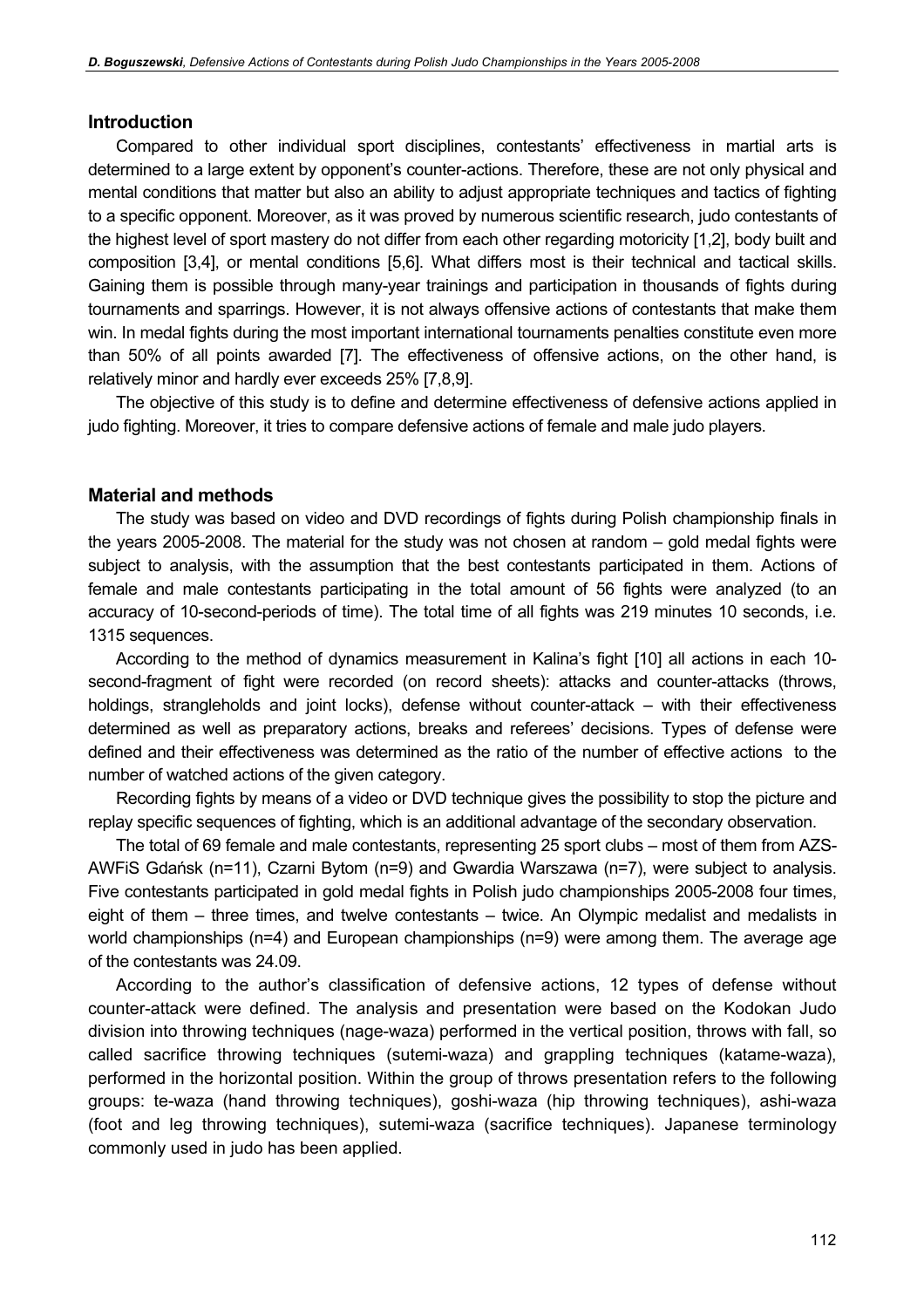#### **Introduction**

Compared to other individual sport disciplines, contestants' effectiveness in martial arts is determined to a large extent by opponent's counter-actions. Therefore, these are not only physical and mental conditions that matter but also an ability to adjust appropriate techniques and tactics of fighting to a specific opponent. Moreover, as it was proved by numerous scientific research, judo contestants of the highest level of sport mastery do not differ from each other regarding motoricity [1,2], body built and composition [3,4], or mental conditions [5,6]. What differs most is their technical and tactical skills. Gaining them is possible through many-year trainings and participation in thousands of fights during tournaments and sparrings. However, it is not always offensive actions of contestants that make them win. In medal fights during the most important international tournaments penalties constitute even more than 50% of all points awarded [7]. The effectiveness of offensive actions, on the other hand, is relatively minor and hardly ever exceeds 25% [7,8,9].

The objective of this study is to define and determine effectiveness of defensive actions applied in judo fighting. Moreover, it tries to compare defensive actions of female and male judo players.

#### Material and methods

The study was based on video and DVD recordings of fights during Polish championship finals in the years 2005-2008. The material for the study was not chosen at random – gold medal fights were subject to analysis, with the assumption that the best contestants participated in them. Actions of female and male contestants participating in the total amount of 56 fights were analyzed (to an accuracy of 10-second-periods of time). The total time of all fights was 219 minutes 10 seconds, i.e. 1315 sequences.

According to the method of dynamics measurement in Kalina's fight [10] all actions in each 10 second-fragment of fight were recorded (on record sheets): attacks and counter-attacks (throws, holdings, strangleholds and joint locks), defense without counter-attack – with their effectiveness determined as well as preparatory actions, breaks and referees' decisions. Types of defense were defined and their effectiveness was determined as the ratio of the number of effective actions to the number of watched actions of the given category.

Recording fights by means of a video or DVD technique gives the possibility to stop the picture and replay specific sequences of fighting, which is an additional advantage of the secondary observation.

The total of 69 female and male contestants, representing 25 sport clubs – most of them from AZS-AWFiS Gdańsk (n=11), Czarni Bytom (n=9) and Gwardia Warszawa (n=7), were subject to analysis. Five contestants participated in gold medal fights in Polish judo championships 2005-2008 four times, eight of them – three times, and twelve contestants – twice. An Olympic medalist and medalists in world championships (n=4) and European championships (n=9) were among them. The average age of the contestants was 24.09.

According to the author's classification of defensive actions, 12 types of defense without counter-attack were defined. The analysis and presentation were based on the Kodokan Judo division into throwing techniques (nage-waza) performed in the vertical position, throws with fall, so called sacrifice throwing techniques (sutemi-waza) and grappling techniques (katame-waza), performed in the horizontal position. Within the group of throws presentation refers to the following groups: te-waza (hand throwing techniques), goshi-waza (hip throwing techniques), ashi-waza (foot and leg throwing techniques), sutemi-waza (sacrifice techniques). Japanese terminology commonly used in judo has been applied.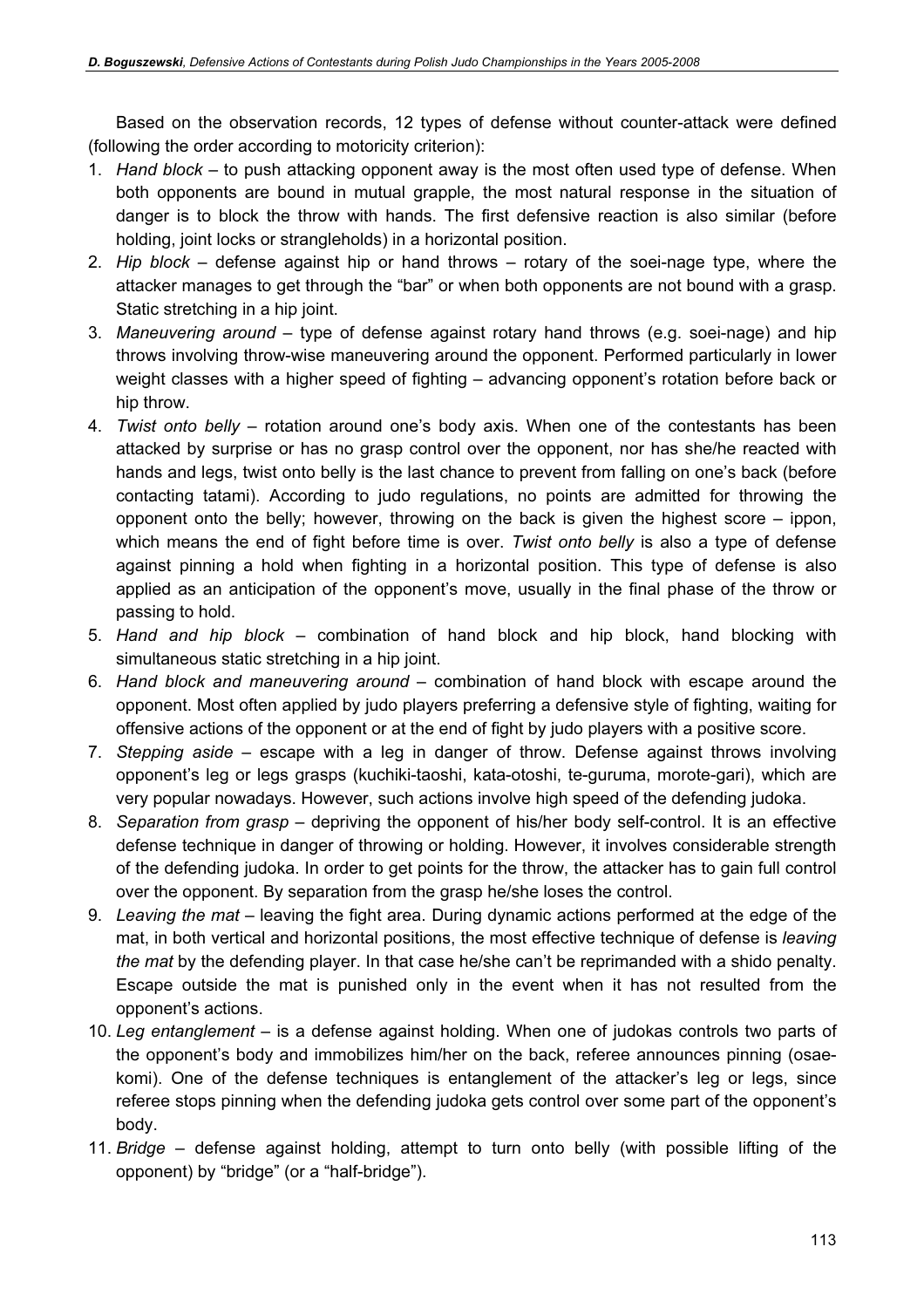Based on the observation records, 12 types of defense without counter-attack were defined (following the order according to motoricity criterion):

- 1. Hand block to push attacking opponent away is the most often used type of defense. When both opponents are bound in mutual grapple, the most natural response in the situation of danger is to block the throw with hands. The first defensive reaction is also similar (before holding, joint locks or strangleholds) in a horizontal position.
- 2. Hip block defense against hip or hand throws rotary of the soei-nage type, where the attacker manages to get through the "bar" or when both opponents are not bound with a grasp. Static stretching in a hip joint.
- 3. Maneuvering around type of defense against rotary hand throws (e.g. soei-nage) and hip throws involving throw-wise maneuvering around the opponent. Performed particularly in lower weight classes with a higher speed of fighting – advancing opponent's rotation before back or hip throw.
- 4. Twist onto belly rotation around one's body axis. When one of the contestants has been attacked by surprise or has no grasp control over the opponent, nor has she/he reacted with hands and legs, twist onto belly is the last chance to prevent from falling on one's back (before contacting tatami). According to judo regulations, no points are admitted for throwing the opponent onto the belly; however, throwing on the back is given the highest score – ippon, which means the end of fight before time is over. Twist onto belly is also a type of defense against pinning a hold when fighting in a horizontal position. This type of defense is also applied as an anticipation of the opponent's move, usually in the final phase of the throw or passing to hold.
- 5. Hand and hip block combination of hand block and hip block, hand blocking with simultaneous static stretching in a hip joint.
- 6. Hand block and maneuvering around combination of hand block with escape around the opponent. Most often applied by judo players preferring a defensive style of fighting, waiting for offensive actions of the opponent or at the end of fight by judo players with a positive score.
- 7. Stepping aside escape with a leg in danger of throw. Defense against throws involving opponent's leg or legs grasps (kuchiki-taoshi, kata-otoshi, te-guruma, morote-gari), which are very popular nowadays. However, such actions involve high speed of the defending judoka.
- 8. Separation from grasp depriving the opponent of his/her body self-control. It is an effective defense technique in danger of throwing or holding. However, it involves considerable strength of the defending judoka. In order to get points for the throw, the attacker has to gain full control over the opponent. By separation from the grasp he/she loses the control.
- 9. Leaving the mat leaving the fight area. During dynamic actions performed at the edge of the mat, in both vertical and horizontal positions, the most effective technique of defense is leaving the mat by the defending player. In that case he/she can't be reprimanded with a shido penalty. Escape outside the mat is punished only in the event when it has not resulted from the opponent's actions.
- 10. Leg entanglement is a defense against holding. When one of judokas controls two parts of the opponent's body and immobilizes him/her on the back, referee announces pinning (osaekomi). One of the defense techniques is entanglement of the attacker's leg or legs, since referee stops pinning when the defending judoka gets control over some part of the opponent's body.
- 11. Bridge defense against holding, attempt to turn onto belly (with possible lifting of the opponent) by "bridge" (or a "half-bridge").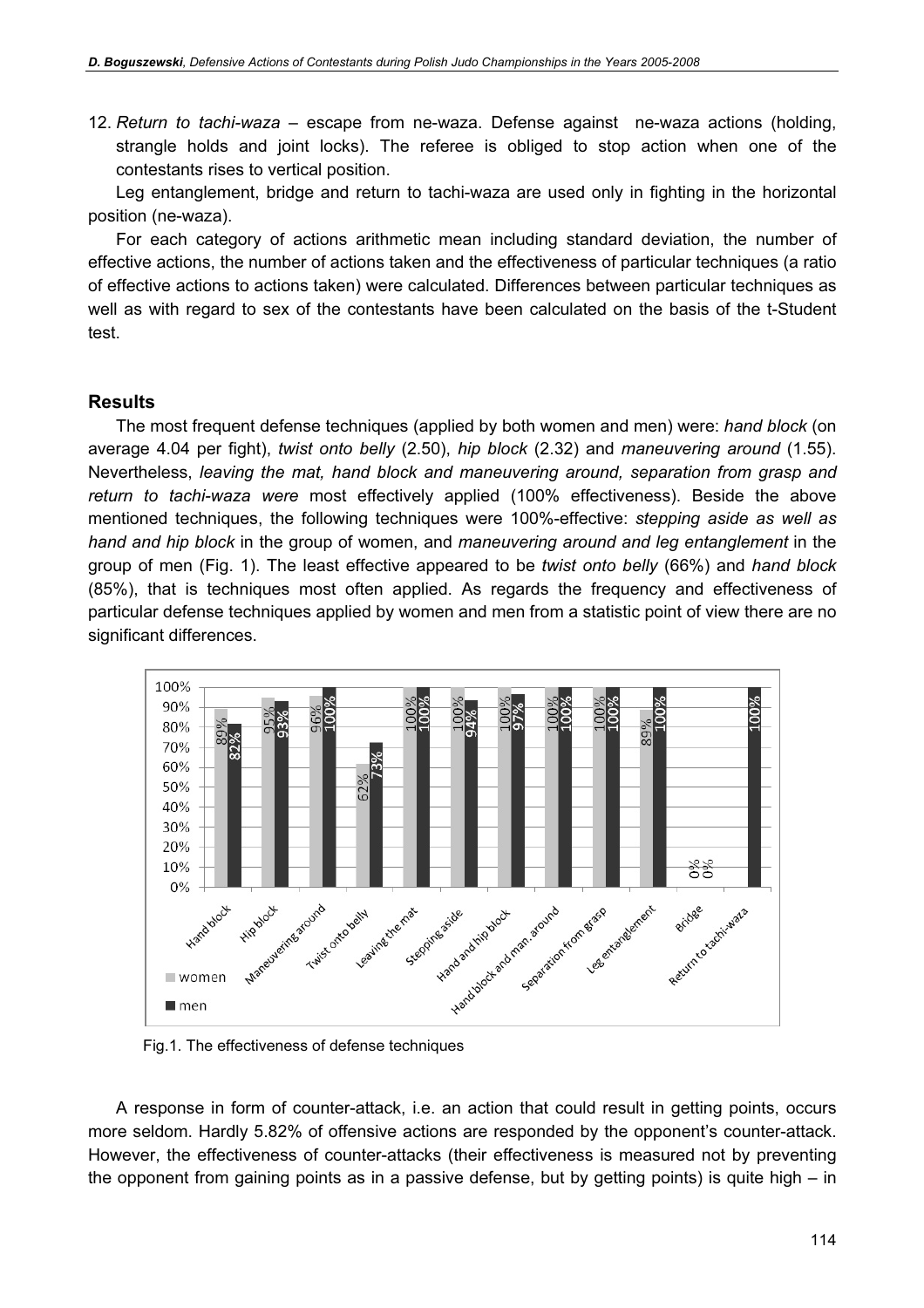12. Return to tachi-waza – escape from ne-waza. Defense against ne-waza actions (holding, strangle holds and joint locks). The referee is obliged to stop action when one of the contestants rises to vertical position.

Leg entanglement, bridge and return to tachi-waza are used only in fighting in the horizontal position (ne-waza).

For each category of actions arithmetic mean including standard deviation, the number of effective actions, the number of actions taken and the effectiveness of particular techniques (a ratio of effective actions to actions taken) were calculated. Differences between particular techniques as well as with regard to sex of the contestants have been calculated on the basis of the t-Student test.

#### **Results**

The most frequent defense techniques (applied by both women and men) were: hand block (on average 4.04 per fight), twist onto belly (2.50), hip block (2.32) and maneuvering around (1.55). Nevertheless, leaving the mat, hand block and maneuvering around, separation from grasp and return to tachi-waza were most effectively applied (100% effectiveness). Beside the above mentioned techniques, the following techniques were 100%-effective: stepping aside as well as hand and hip block in the group of women, and maneuvering around and leg entanglement in the group of men (Fig. 1). The least effective appeared to be twist onto belly (66%) and hand block (85%), that is techniques most often applied. As regards the frequency and effectiveness of particular defense techniques applied by women and men from a statistic point of view there are no significant differences.



Fig.1. The effectiveness of defense techniques

A response in form of counter-attack, i.e. an action that could result in getting points, occurs more seldom. Hardly 5.82% of offensive actions are responded by the opponent's counter-attack. However, the effectiveness of counter-attacks (their effectiveness is measured not by preventing the opponent from gaining points as in a passive defense, but by getting points) is quite high – in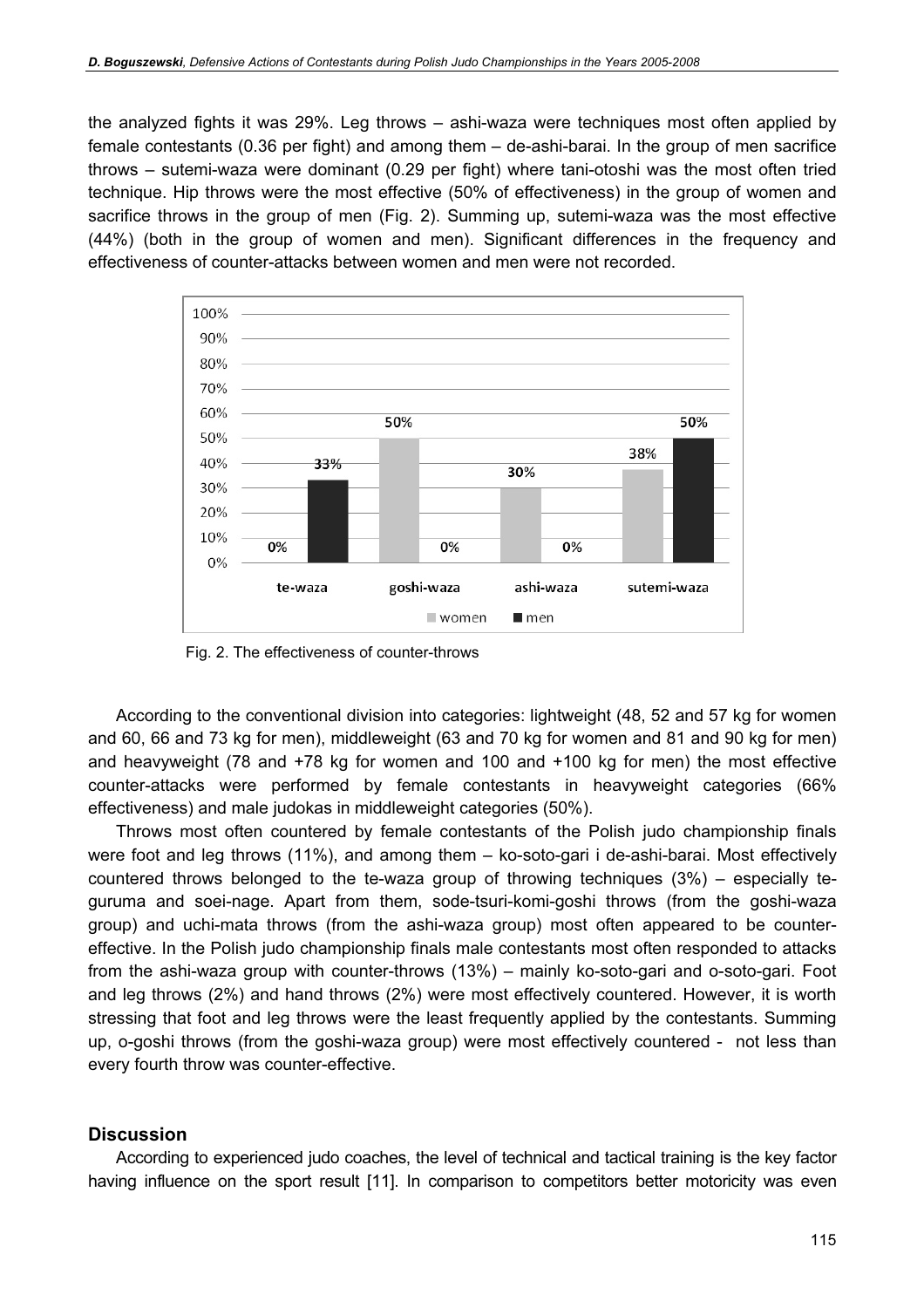the analyzed fights it was 29%. Leg throws – ashi-waza were techniques most often applied by female contestants (0.36 per fight) and among them – de-ashi-barai. In the group of men sacrifice throws – sutemi-waza were dominant (0.29 per fight) where tani-otoshi was the most often tried technique. Hip throws were the most effective (50% of effectiveness) in the group of women and sacrifice throws in the group of men (Fig. 2). Summing up, sutemi-waza was the most effective (44%) (both in the group of women and men). Significant differences in the frequency and effectiveness of counter-attacks between women and men were not recorded.



Fig. 2. The effectiveness of counter-throws

According to the conventional division into categories: lightweight (48, 52 and 57 kg for women and 60, 66 and 73 kg for men), middleweight (63 and 70 kg for women and 81 and 90 kg for men) and heavyweight (78 and +78 kg for women and 100 and +100 kg for men) the most effective counter-attacks were performed by female contestants in heavyweight categories (66% effectiveness) and male judokas in middleweight categories (50%).

Throws most often countered by female contestants of the Polish judo championship finals were foot and leg throws (11%), and among them – ko-soto-gari i de-ashi-barai. Most effectively countered throws belonged to the te-waza group of throwing techniques  $(3%)$  – especially teguruma and soei-nage. Apart from them, sode-tsuri-komi-goshi throws (from the goshi-waza group) and uchi-mata throws (from the ashi-waza group) most often appeared to be countereffective. In the Polish judo championship finals male contestants most often responded to attacks from the ashi-waza group with counter-throws (13%) – mainly ko-soto-gari and o-soto-gari. Foot and leg throws (2%) and hand throws (2%) were most effectively countered. However, it is worth stressing that foot and leg throws were the least frequently applied by the contestants. Summing up, o-goshi throws (from the goshi-waza group) were most effectively countered - not less than every fourth throw was counter-effective.

### **Discussion**

According to experienced judo coaches, the level of technical and tactical training is the key factor having influence on the sport result [11]. In comparison to competitors better motoricity was even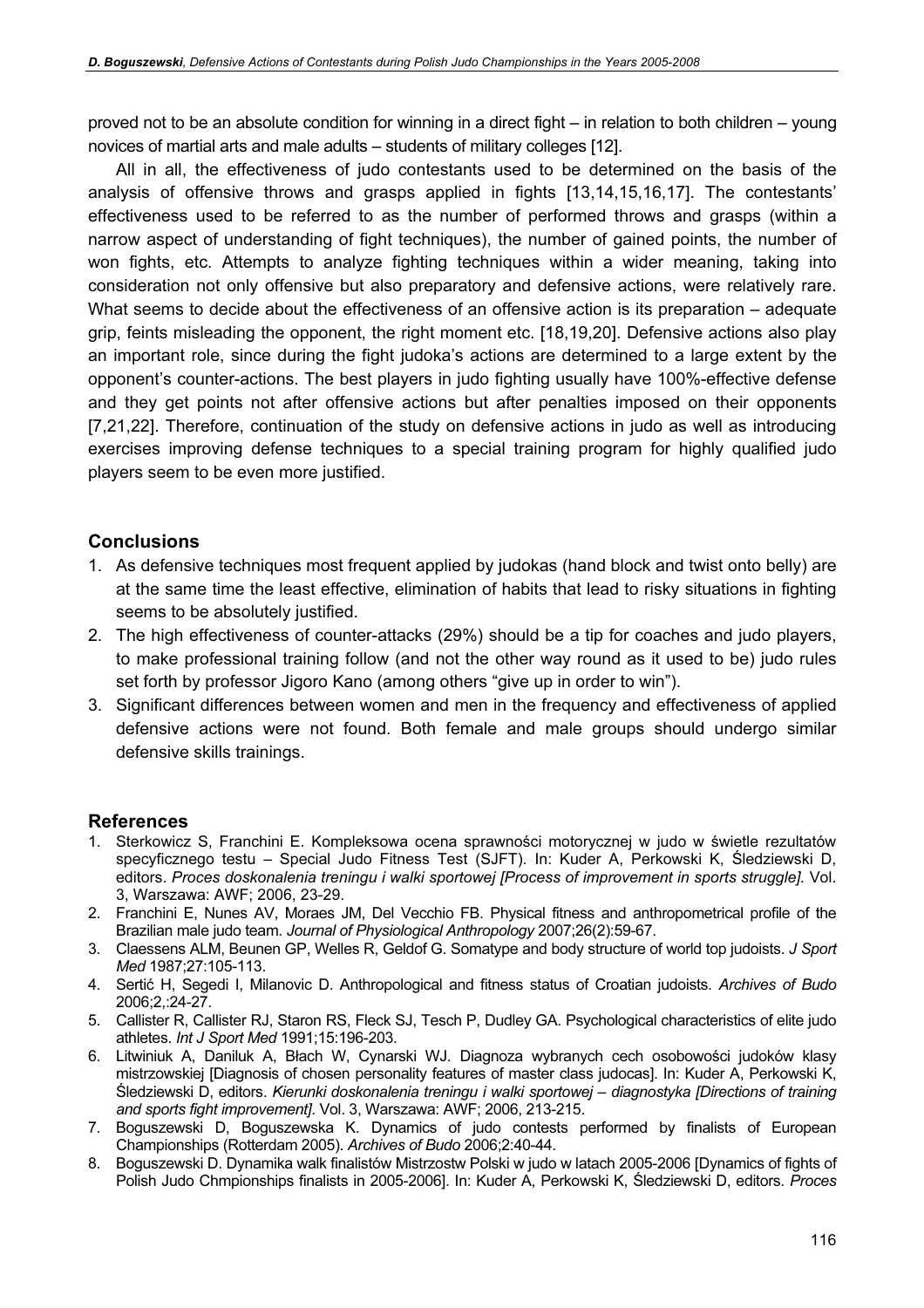proved not to be an absolute condition for winning in a direct fight – in relation to both children – young novices of martial arts and male adults – students of military colleges [12].

All in all, the effectiveness of judo contestants used to be determined on the basis of the analysis of offensive throws and grasps applied in fights [13,14,15,16,17]. The contestants' effectiveness used to be referred to as the number of performed throws and grasps (within a narrow aspect of understanding of fight techniques), the number of gained points, the number of won fights, etc. Attempts to analyze fighting techniques within a wider meaning, taking into consideration not only offensive but also preparatory and defensive actions, were relatively rare. What seems to decide about the effectiveness of an offensive action is its preparation – adequate grip, feints misleading the opponent, the right moment etc. [18,19,20]. Defensive actions also play an important role, since during the fight judoka's actions are determined to a large extent by the opponent's counter-actions. The best players in judo fighting usually have 100%-effective defense and they get points not after offensive actions but after penalties imposed on their opponents [7,21,22]. Therefore, continuation of the study on defensive actions in judo as well as introducing exercises improving defense techniques to a special training program for highly qualified judo players seem to be even more justified.

### **Conclusions**

- 1. As defensive techniques most frequent applied by judokas (hand block and twist onto belly) are at the same time the least effective, elimination of habits that lead to risky situations in fighting seems to be absolutely justified.
- 2. The high effectiveness of counter-attacks (29%) should be a tip for coaches and judo players, to make professional training follow (and not the other way round as it used to be) judo rules set forth by professor Jigoro Kano (among others "give up in order to win").
- 3. Significant differences between women and men in the frequency and effectiveness of applied defensive actions were not found. Both female and male groups should undergo similar defensive skills trainings.

#### References

- 1. Sterkowicz S, Franchini E. Kompleksowa ocena sprawności motorycznej w judo w świetle rezultatów specyficznego testu – Special Judo Fitness Test (SJFT). In: Kuder A, Perkowski K, Śledziewski D, editors. Proces doskonalenia treningu i walki sportowej [Process of improvement in sports struggle]. Vol. 3, Warszawa: AWF; 2006, 23-29.
- 2. Franchini E, Nunes AV, Moraes JM, Del Vecchio FB. Physical fitness and anthropometrical profile of the Brazilian male judo team. Journal of Physiological Anthropology 2007;26(2):59-67.
- 3. Claessens ALM, Beunen GP, Welles R, Geldof G. Somatype and body structure of world top judoists. J Sport Med 1987;27:105-113.
- 4. Sertić H, Segedi I, Milanovic D. Anthropological and fitness status of Croatian judoists. Archives of Budo 2006;2,:24-27.
- 5. Callister R, Callister RJ, Staron RS, Fleck SJ, Tesch P, Dudley GA. Psychological characteristics of elite judo athletes. Int J Sport Med 1991;15:196-203.
- 6. Litwiniuk A, Daniluk A, Błach W, Cynarski WJ. Diagnoza wybranych cech osobowości judoków klasy mistrzowskiej [Diagnosis of chosen personality features of master class judocas]. In: Kuder A, Perkowski K, Śledziewski D, editors. Kierunki doskonalenia treningu i walki sportowej – diagnostyka [Directions of training and sports fight improvement]. Vol. 3, Warszawa: AWF; 2006, 213-215.
- 7. Boguszewski D, Boguszewska K. Dynamics of judo contests performed by finalists of European Championships (Rotterdam 2005). Archives of Budo 2006;2:40-44.
- 8. Boguszewski D. Dynamika walk finalistów Mistrzostw Polski w judo w latach 2005-2006 [Dynamics of fights of Polish Judo Chmpionships finalists in 2005-2006]. In: Kuder A, Perkowski K, Śledziewski D, editors. Proces